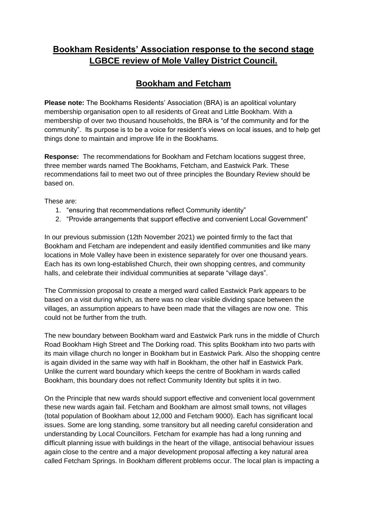## **Bookham Residents' Association response to the second stage LGBCE review of Mole Valley District Council.**

## **Bookham and Fetcham**

**Please note:** The Bookhams Residents' Association (BRA) is an apolitical voluntary membership organisation open to all residents of Great and Little Bookham. With a membership of over two thousand households, the BRA is "of the community and for the community". Its purpose is to be a voice for resident's views on local issues, and to help get things done to maintain and improve life in the Bookhams.

**Response:** The recommendations for Bookham and Fetcham locations suggest three, three member wards named The Bookhams, Fetcham, and Eastwick Park. These recommendations fail to meet two out of three principles the Boundary Review should be based on.

These are:

- 1. "ensuring that recommendations reflect Community identity"
- 2. "Provide arrangements that support effective and convenient Local Government"

In our previous submission (12th November 2021) we pointed firmly to the fact that Bookham and Fetcham are independent and easily identified communities and like many locations in Mole Valley have been in existence separately for over one thousand years. Each has its own long-established Church, their own shopping centres, and community halls, and celebrate their individual communities at separate "village days".

The Commission proposal to create a merged ward called Eastwick Park appears to be based on a visit during which, as there was no clear visible dividing space between the villages, an assumption appears to have been made that the villages are now one. This could not be further from the truth.

The new boundary between Bookham ward and Eastwick Park runs in the middle of Church Road Bookham High Street and The Dorking road. This splits Bookham into two parts with its main village church no longer in Bookham but in Eastwick Park. Also the shopping centre is again divided in the same way with half in Bookham, the other half in Eastwick Park. Unlike the current ward boundary which keeps the centre of Bookham in wards called Bookham, this boundary does not reflect Community Identity but splits it in two.

On the Principle that new wards should support effective and convenient local government these new wards again fail. Fetcham and Bookham are almost small towns, not villages (total population of Bookham about 12,000 and Fetcham 9000). Each has significant local issues. Some are long standing, some transitory but all needing careful consideration and understanding by Local Councillors. Fetcham for example has had a long running and difficult planning issue with buildings in the heart of the village, antisocial behaviour issues again close to the centre and a major development proposal affecting a key natural area called Fetcham Springs. In Bookham different problems occur. The local plan is impacting a